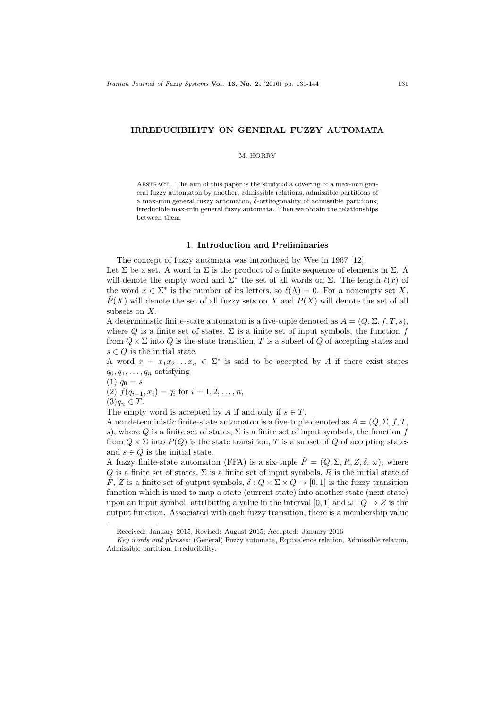## IRREDUCIBILITY ON GENERAL FUZZY AUTOMATA

#### M. HORRY

ABSTRACT. The aim of this paper is the study of a covering of a max-min general fuzzy automaton by another, admissible relations, admissible partitions of a max-min general fuzzy automaton,  $\tilde{\delta}$ -orthogonality of admissible partitions, irreducible max-min general fuzzy automata. Then we obtain the relationships between them.

## 1. Introduction and Preliminaries

The concept of fuzzy automata was introduced by Wee in 1967 [12].

Let  $\Sigma$  be a set. A word in  $\Sigma$  is the product of a finite sequence of elements in  $\Sigma$ .  $\Lambda$ will denote the empty word and  $\Sigma^*$  the set of all words on  $\Sigma$ . The length  $\ell(x)$  of the word  $x \in \Sigma^*$  is the number of its letters, so  $\ell(\Lambda) = 0$ . For a nonempty set X,  $\tilde{P}(X)$  will denote the set of all fuzzy sets on X and  $P(X)$  will denote the set of all subsets on X.

A deterministic finite-state automaton is a five-tuple denoted as  $A = (Q, \Sigma, f, T, s)$ , where Q is a finite set of states,  $\Sigma$  is a finite set of input symbols, the function f from  $Q \times \Sigma$  into Q is the state transition, T is a subset of Q of accepting states and  $s \in Q$  is the initial state.

A word  $x = x_1 x_2 ... x_n \in \Sigma^*$  is said to be accepted by A if there exist states  $q_0, q_1, \ldots, q_n$  satisfying

$$
(1) \ q_0 = s
$$

$$
(2) f(q_{i-1}, x_i) = q_i \text{ for } i = 1, 2, \dots, n,
$$

 $(3)q_n \in T$ .

The empty word is accepted by A if and only if  $s \in T$ .

A nondeterministic finite-state automaton is a five-tuple denoted as  $A = (Q, \Sigma, f, T, \Sigma)$ s), where Q is a finite set of states,  $\Sigma$  is a finite set of input symbols, the function f from  $Q \times \Sigma$  into  $P(Q)$  is the state transition, T is a subset of Q of accepting states and  $s \in Q$  is the initial state.

A fuzzy finite-state automaton (FFA) is a six-tuple  $\tilde{F} = (Q, \Sigma, R, Z, \delta, \omega)$ , where Q is a finite set of states,  $\Sigma$  is a finite set of input symbols, R is the initial state of  $\tilde{F}, Z$  is a finite set of output symbols,  $\delta: Q \times \Sigma \times Q \rightarrow [0, 1]$  is the fuzzy transition function which is used to map a state (current state) into another state (next state) upon an input symbol, attributing a value in the interval [0, 1] and  $\omega: Q \to Z$  is the output function. Associated with each fuzzy transition, there is a membership value

Received: January 2015; Revised: August 2015; Accepted: January 2016

Key words and phrases: (General) Fuzzy automata, Equivalence relation, Admissible relation, Admissible partition, Irreducibility.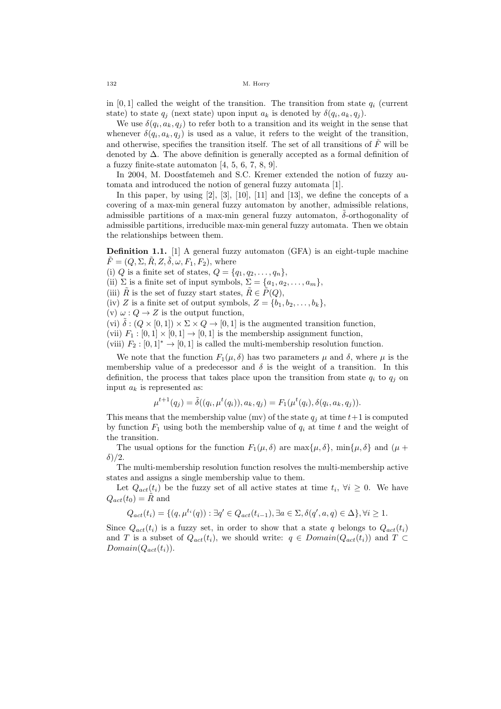in  $[0, 1]$  called the weight of the transition. The transition from state  $q_i$  (current state) to state  $q_j$  (next state) upon input  $a_k$  is denoted by  $\delta(q_i, a_k, q_j)$ .

We use  $\delta(q_i, a_k, q_j)$  to refer both to a transition and its weight in the sense that whenever  $\delta(q_i, a_k, q_j)$  is used as a value, it refers to the weight of the transition, and otherwise, specifies the transition itself. The set of all transitions of  $\tilde{F}$  will be denoted by  $\Delta$ . The above definition is generally accepted as a formal definition of a fuzzy finite-state automaton [4, 5, 6, 7, 8, 9].

In 2004, M. Doostfatemeh and S.C. Kremer extended the notion of fuzzy automata and introduced the notion of general fuzzy automata [1].

In this paper, by using  $[2]$ ,  $[3]$ ,  $[10]$ ,  $[11]$  and  $[13]$ , we define the concepts of a covering of a max-min general fuzzy automaton by another, admissible relations, admissible partitions of a max-min general fuzzy automaton,  $\tilde{\delta}$ -orthogonality of admissible partitions, irreducible max-min general fuzzy automata. Then we obtain the relationships between them.

Definition 1.1. [1] A general fuzzy automaton (GFA) is an eight-tuple machine  $\tilde{F} = (Q, \Sigma, \tilde{R}, Z, \tilde{\delta}, \omega, F_1, F_2),$  where

(i) Q is a finite set of states,  $Q = \{q_1, q_2, \ldots, q_n\},\$ 

(ii)  $\Sigma$  is a finite set of input symbols,  $\Sigma = \{a_1, a_2, \ldots, a_m\},\$ 

(iii)  $\tilde{R}$  is the set of fuzzy start states,  $\tilde{R} \in \tilde{P}(Q)$ ,

(iv) Z is a finite set of output symbols,  $Z = \{b_1, b_2, \ldots, b_k\},\$ 

(v)  $\omega$  :  $Q \rightarrow Z$  is the output function,

(vi)  $\delta$  :  $(Q \times [0, 1]) \times \Sigma \times Q \rightarrow [0, 1]$  is the augmented transition function,

(vii)  $F_1 : [0,1] \times [0,1] \rightarrow [0,1]$  is the membership assignment function,

(viii)  $F_2 : [0,1]^* \to [0,1]$  is called the multi-membership resolution function.

We note that the function  $F_1(\mu, \delta)$  has two parameters  $\mu$  and  $\delta$ , where  $\mu$  is the membership value of a predecessor and  $\delta$  is the weight of a transition. In this definition, the process that takes place upon the transition from state  $q_i$  to  $q_j$  on input  $a_k$  is represented as:

$$
\mu^{t+1}(q_j) = \tilde{\delta}((q_i, \mu^t(q_i)), a_k, q_j) = F_1(\mu^t(q_i), \delta(q_i, a_k, q_j)).
$$

This means that the membership value (mv) of the state  $q_i$  at time  $t+1$  is computed by function  $F_1$  using both the membership value of  $q_i$  at time t and the weight of the transition.

The usual options for the function  $F_1(\mu, \delta)$  are  $\max{\{\mu, \delta\}}$ ,  $\min{\{\mu, \delta\}}$  and  $(\mu +$  $\delta$ )/2.

The multi-membership resolution function resolves the multi-membership active states and assigns a single membership value to them.

Let  $Q_{act}(t_i)$  be the fuzzy set of all active states at time  $t_i, \forall i \geq 0$ . We have  $Q_{act}(t_0) = \tilde{R}$  and

 $Q_{act}(t_i) = \{ (q, \mu^{t_i}(q)) : \exists q' \in Q_{act}(t_{i-1}), \exists a \in \Sigma, \delta(q', a, q) \in \Delta \}, \forall i \geq 1.$ 

Since  $Q_{act}(t_i)$  is a fuzzy set, in order to show that a state q belongs to  $Q_{act}(t_i)$ and T is a subset of  $Q_{act}(t_i)$ , we should write:  $q \in Domain(Q_{act}(t_i))$  and  $T \subset$  $Domain(Q_{act}(t_i)).$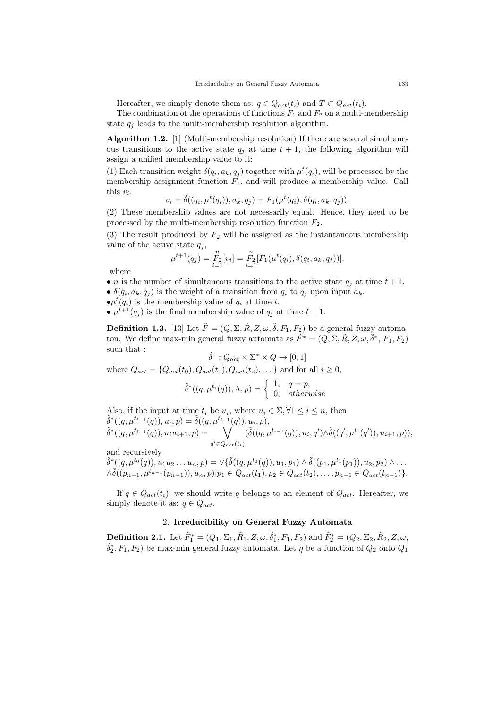Hereafter, we simply denote them as:  $q \in Q_{act}(t_i)$  and  $T \subset Q_{act}(t_i)$ .

The combination of the operations of functions  $F_1$  and  $F_2$  on a multi-membership state  $q_i$  leads to the multi-membership resolution algorithm.

Algorithm 1.2. [1] (Multi-membership resolution) If there are several simultaneous transitions to the active state  $q_j$  at time  $t + 1$ , the following algorithm will assign a unified membership value to it:

(1) Each transition weight  $\delta(q_i, a_k, q_j)$  together with  $\mu^t(q_i)$ , will be processed by the membership assignment function  $F_1$ , and will produce a membership value. Call this  $v_i$ .

$$
v_i = \tilde{\delta}((q_i, \mu^t(q_i)), a_k, q_j) = F_1(\mu^t(q_i), \delta(q_i, a_k, q_j)).
$$

(2) These membership values are not necessarily equal. Hence, they need to be processed by the multi-membership resolution function  $F_2$ .

(3) The result produced by  $F_2$  will be assigned as the instantaneous membership value of the active state  $q_i$ ,

$$
\mu^{t+1}(q_j) = \sum_{i=1}^n [v_i] = \sum_{i=1}^n [F_1(\mu^t(q_i), \delta(q_i, a_k, q_j))].
$$

where

• *n* is the number of simultaneous transitions to the active state  $q_i$  at time  $t + 1$ .

•  $\delta(q_i, a_k, q_j)$  is the weight of a transition from  $q_i$  to  $q_j$  upon input  $a_k$ .

 $\bullet \mu^t(q_i)$  is the membership value of  $q_i$  at time t.

•  $\mu^{t+1}(q_j)$  is the final membership value of  $q_j$  at time  $t+1$ .

**Definition 1.3.** [13] Let  $\tilde{F} = (Q, \Sigma, \tilde{R}, Z, \omega, \tilde{\delta}, F_1, F_2)$  be a general fuzzy automaton. We define max-min general fuzzy automata as  $\tilde{F}^* = (Q, \Sigma, \tilde{R}, Z, \omega, \tilde{\delta}^*, F_1, F_2)$ such that :

$$
\tilde{\delta}^* : Q_{act} \times \Sigma^* \times Q \to [0, 1]
$$

where  $Q_{act} = \{Q_{act}(t_0), Q_{act}(t_1), Q_{act}(t_2), \dots\}$  and for all  $i \ge 0$ ,

$$
\tilde{\delta}^*((q,\mu^{t_i}(q)),\Lambda,p) = \begin{cases} 1, & q=p, \\ 0, & otherwise \end{cases}
$$

Also, if the input at time  $t_i$  be  $u_i$ , where  $u_i \in \Sigma, \forall 1 \leq i \leq n$ , then  $\tilde{\delta}^*((q,\mu^{t_{i-1}}(q)),u_i,p)=\tilde{\delta}((q,\mu^{t_{i-1}}(q)),u_i,p),$  $\tilde{\delta}^*((q,\mu^{t_{i-1}}(q)),u_iu_{i+1},p) = \bigvee$  $q' \in Q_{act}(t_i)$  $(\tilde{\delta}((q, \mu^{t_{i-1}}(q)), u_i, q') \wedge \tilde{\delta}((q', \mu^{t_i}(q')), u_{i+1}, p)),$ 

and recursively

$$
\tilde{\delta}^*((q,\mu^{t_0}(q)), u_1u_2...u_n, p) = \vee \{ \tilde{\delta}((q,\mu^{t_0}(q)), u_1, p_1) \wedge \tilde{\delta}((p_1,\mu^{t_1}(p_1)), u_2, p_2) \wedge ... \wedge \tilde{\delta}((p_{n-1},\mu^{t_{n-1}}(p_{n-1})), u_n, p) | p_1 \in Q_{act}(t_1), p_2 \in Q_{act}(t_2), ..., p_{n-1} \in Q_{act}(t_{n-1}) \}.
$$

If  $q \in Q_{act}(t_i)$ , we should write q belongs to an element of  $Q_{act}$ . Hereafter, we simply denote it as:  $q \in Q_{act}$ .

# 2. Irreducibility on General Fuzzy Automata

**Definition 2.1.** Let  $\tilde{F}_1^* = (Q_1, \Sigma_1, \tilde{R}_1, Z, \omega, \tilde{\delta}_1^*, F_1, F_2)$  and  $\tilde{F}_2^* = (Q_2, \Sigma_2, \tilde{R}_2, Z, \omega,$  $(\tilde{\delta}_2^*,F_1,F_2)$  be max-min general fuzzy automata. Let  $\eta$  be a function of  $Q_2$  onto  $Q_1$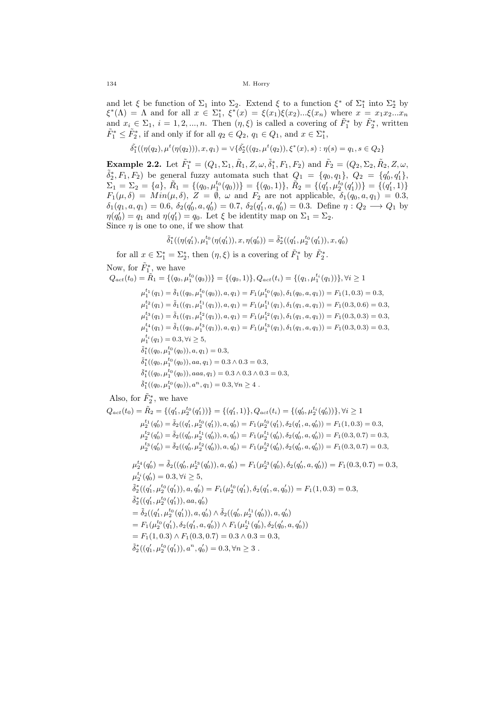and let  $\xi$  be function of  $\Sigma_1$  into  $\Sigma_2$ . Extend  $\xi$  to a function  $\xi^*$  of  $\Sigma_1^*$  into  $\Sigma_2^*$  by  $\xi^*(\Lambda) = \Lambda$  and for all  $x \in \Sigma_1^*, \xi^*(x) = \xi(x_1)\xi(x_2)... \xi(x_n)$  where  $x = x_1x_2...x_n$ and  $x_i \in \Sigma_1$ ,  $i = 1, 2, ..., n$ . Then  $(\eta, \xi)$  is called a covering of  $\tilde{F}_1^*$  by  $\tilde{F}_2^*$ , written  $\tilde{F}_1^* \leq \tilde{F}_2^*$ , if and only if for all  $q_2 \in Q_2$ ,  $q_1 \in Q_1$ , and  $x \in \Sigma_1^*$ ,

 $\tilde{\delta^*_1}((\eta(q_2), \mu^t(\eta(q_2))), x, q_1) = \vee \{ \tilde{\delta^*_2}((q_2, \mu^t(q_2)), \xi^*(x), s) : \eta(s) = q_1, s \in Q_2 \}$ 

**Example 2.2.** Let  $\tilde{F}_1^* = (Q_1, \Sigma_1, \tilde{R}_1, Z, \omega, \tilde{\delta}_1^*, F_1, F_2)$  and  $\tilde{F}_2 = (Q_2, \Sigma_2, \tilde{R}_2, Z, \omega,$  $(\tilde{\delta}_2^*, F_1, F_2)$  be general fuzzy automata such that  $Q_1 = \{q_0, q_1\}, Q_2 = \{q'_0, q'_1\},$  $\Sigma_1 = \Sigma_2 = \{a\}, \, \tilde{R}_1 = \{(q_0, \mu_1^{t_0}(q_0))\} = \{(q_0, 1)\}, \, \tilde{R}_2 = \{(q_1', \mu_2^{t_0}(q_1'))\} = \{(q_1', 1)\}$  $F_1(\mu, \delta) = Min(\mu, \delta), Z = \emptyset, \omega \text{ and } F_2 \text{ are not applicable, } \delta_1(q_0, a, q_1) = 0.3,$  $\delta_1(q_1, a, q_1) = 0.6, \ \delta_2(q'_0, a, q'_0) = 0.7, \ \delta_2(q'_1, a, q'_0) = 0.3.$  Define  $\eta: Q_2 \longrightarrow Q_1$  by  $\eta(q'_0) = q_1$  and  $\eta(q'_1) = q_0$ . Let  $\xi$  be identity map on  $\Sigma_1 = \Sigma_2$ . Since  $\eta$  is one to one, if we show that

$$
\tilde{\delta}^*_1((\eta(q'_1), \mu_1^{t_0}(\eta(q'_1)), x, \eta(q'_0)) = \tilde{\delta}^*_2((q'_1, \mu_2^{t_0}(q'_1)), x, q'_0)
$$

for all  $x \in \Sigma_1^* = \Sigma_2^*$ , then  $(\eta, \xi)$  is a covering of  $\tilde{F}_1^*$  by  $\tilde{F}_2^*$ .

Now, for  $\tilde{F}_{1}^*$ , we have

$$
Q_{act}(t_0) = \tilde{R}_1 = \{(q_0, \mu_1^{t_0}(q_0))\} = \{(q_0, 1)\}, Q_{act}(t_i) = \{(q_1, \mu_1^{t_i}(q_1))\}, \forall i \ge 1
$$
  
\n
$$
\mu_1^{t_1}(q_1) = \tilde{\delta}_1((q_0, \mu_1^{t_0}(q_0)), a, q_1) = F_1(\mu_1^{t_0}(q_0), \delta_1(q_0, a, q_1)) = F_1(1, 0.3) = 0.3,
$$
  
\n
$$
\mu_1^{t_2}(q_1) = \tilde{\delta}_1((q_1, \mu_1^{t_1}(q_1)), a, q_1) = F_1(\mu_1^{t_1}(q_1), \delta_1(q_1, a, q_1)) = F_1(0.3, 0.6) = 0.3,
$$
  
\n
$$
\mu_1^{t_3}(q_1) = \tilde{\delta}_1((q_1, \mu_1^{t_2}(q_1)), a, q_1) = F_1(\mu_1^{t_2}(q_1), \delta_1(q_1, a, q_1)) = F_1(0.3, 0.3) = 0.3,
$$
  
\n
$$
\mu_1^{t_4}(q_1) = \tilde{\delta}_1((q_0, \mu_1^{t_3}(q_1)), a, q_1) = F_1(\mu_1^{t_3}(q_1), \delta_1(q_1, a, q_1)) = F_1(0.3, 0.3) = 0.3,
$$
  
\n
$$
\mu_1^{t_i}(q_1) = 0.3, \forall i \ge 5,
$$
  
\n
$$
\tilde{\delta}_1^*(q_0, \mu_1^{t_0}(q_0)), a, q_1) = 0.3,
$$
  
\n
$$
\tilde{\delta}_1^*((q_0, \mu_1^{t_0}(q_0)), a, q_1) = 0.3 \land 0.3 = 0.3,
$$
  
\n
$$
\tilde{\delta}_1^*((q_0, \mu_1^{t_0}(q_0)), a, q_1) = 0.3 \land 0.3 \land 0.3 = 0.3,
$$
  
\n
$$
\tilde{\delta}_1^*((q_0, \mu_1^{t_0}(q_0)), a, q_1) =
$$

Also, for  $\tilde{F}_2^*$ , we have

$$
Q_{act}(t_0) = \tilde{R}_2 = \{(q'_1, \mu_2^{t_0}(q'_1))\} = \{(q'_1, 1)\}, Q_{act}(t_i) = \{(q'_0, \mu_2^{t_i}(q'_0))\}, \forall i \ge 1
$$
  
\n
$$
\mu_2^{t_1}(q'_0) = \tilde{\delta}_2((q'_1, \mu_2^{t_0}(q'_1)), a, q'_0) = F_1(\mu_2^{t_0}(q'_1), \delta_2(q'_1, a, q'_0)) = F_1(1, 0.3) = 0.3,
$$
  
\n
$$
\mu_2^{t_2}(q'_0) = \tilde{\delta}_2((q'_0, \mu_2^{t_1}(q'_0)), a, q'_0) = F_1(\mu_2^{t_2}(q'_0), \delta_2(q'_0, a, q'_0)) = F_1(0.3, 0.7) = 0.3,
$$
  
\n
$$
\mu_2^{t_3}(q'_0) = \tilde{\delta}_2((q'_0, \mu_2^{t_2}(q'_0)), a, q'_0) = F_1(\mu_2^{t_2}(q'_0), \delta_2(q'_0, a, q'_0)) = F_1(0.3, 0.7) = 0.3,
$$
  
\n
$$
\mu_2^{t_4}(q'_0) = \tilde{\delta}_2((q'_0, \mu_2^{t_3}(q'_0)), a, q'_0) = F_1(\mu_2^{t_3}(q'_0), \delta_2(q'_0, a, q'_0)) = F_1(0.3, 0.7) = 0.3,
$$
  
\n
$$
\mu_2^{t_2}(q'_0) = 0.3, \forall i \ge 5,
$$
  
\n
$$
\tilde{\delta}_2^*( (q'_1, \mu_2^{t_0}(q'_1)), a, q'_0) = F_1(\mu_2^{t_0}(q'_1), \delta_2(q'_1, a, q'_0)) = F_1(1, 0.3) = 0.3,
$$
  
\n
$$
\tilde{\delta}_2^*((q'_1, \mu_2^{t_0}(q'_1)), a, q'_0) \land \tilde{\delta}_2((q'_0, \mu_2^{t_1}(q'_0)), a, q'_0)
$$
  
\n
$$
= \tilde{\delta}_2((q'_1, \mu_2^{t_0}(q'_1)), \delta_2(q'_1, a, q
$$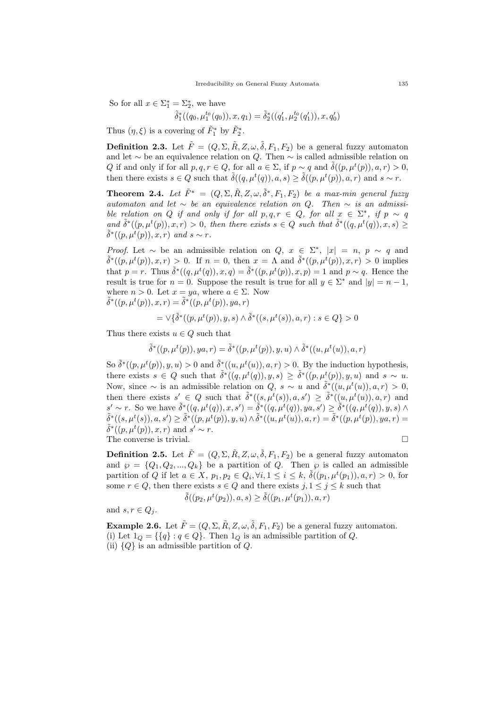So for all  $x \in \Sigma_1^* = \Sigma_2^*$ , we have

$$
\tilde{\delta}^*_1((q_0,\mu_1^{t_0}(q_0)),x,q_1)=\tilde{\delta}^*_2((q_1',\mu_2^{t_0}(q_1')),x,q_0')
$$

Thus  $(\eta, \xi)$  is a covering of  $\tilde{F}_1^*$  by  $\tilde{F}_2^*$ .

**Definition 2.3.** Let  $\tilde{F} = (Q, \Sigma, \tilde{R}, Z, \omega, \tilde{\delta}, F_1, F_2)$  be a general fuzzy automaton and let  $\sim$  be an equivalence relation on Q. Then  $\sim$  is called admissible relation on Q if and only if for all  $p, q, r \in Q$ , for all  $a \in \Sigma$ , if  $p \sim q$  and  $\tilde{\delta}((p, \mu^t(p)), a, r) > 0$ , then there exists  $s \in Q$  such that  $\tilde{\delta}((q, \mu^t(q)), a, s) \geq \tilde{\delta}((p, \mu^t(p)), a, r)$  and  $s \sim r$ .

**Theorem 2.4.** Let  $\tilde{F}^* = (Q, \Sigma, \tilde{R}, Z, \omega, \tilde{\delta}^*, F_1, F_2)$  be a max-min general fuzzy automaton and let  $\sim$  be an equivalence relation on Q. Then  $\sim$  is an admissible relation on Q if and only if for all  $p,q,r \in Q$ , for all  $x \in \Sigma^*$ , if  $p \sim q$ and  $\tilde{\delta}^*((p,\mu^t(p)),x,r)>0$ , then there exists  $s\in Q$  such that  $\tilde{\delta}^*((q,\mu^t(q)),x,s)\geq 0$  $\tilde{\delta}^*( (p, \mu^t(p)), x, r)$  and  $s \sim r$ .

*Proof.* Let ~ be an admissible relation on  $Q, x \in \Sigma^*, |x| = n, p \sim q$  and  $\tilde{\delta}^*((p,\mu^t(p)),x,r) > 0$ . If  $n = 0$ , then  $x = \Lambda$  and  $\tilde{\delta}^*((p,\mu^t(p)),x,r) > 0$  implies that  $p = r$ . Thus  $\tilde{\delta}^*((q, \mu^t(q)), x, q) = \tilde{\delta}^*((p, \mu^t(p)), x, p) = 1$  and  $p \sim q$ . Hence the result is true for  $n = 0$ . Suppose the result is true for all  $y \in \Sigma^*$  and  $|y| = n - 1$ , where  $n > 0$ . Let  $x = ya$ , where  $a \in \Sigma$ . Now  $\tilde{\delta}^*((p,\mu^t(p)),x,r)=\tilde{\delta}^*((p,\mu^t(p)),ya,r)$ 

$$
= \vee \{ \tilde{\delta}^*( (p, \mu^t(p)), y, s) \wedge \tilde{\delta}^*((s, \mu^t(s)), a, r) : s \in Q \} > 0
$$

Thus there exists  $u \in Q$  such that

$$
\tilde{\delta}^*((p,\mu^t(p)),ya,r)=\tilde{\delta}^*((p,\mu^t(p)),y,u)\wedge \tilde{\delta}^*((u,\mu^t(u)),a,r)
$$

So  $\tilde{\delta}^*(p,\mu^t(p),y,u) > 0$  and  $\tilde{\delta}^*(u,\mu^t(u)),a,r) > 0$ . By the induction hypothesis, there exists  $s \in Q$  such that  $\tilde{\delta}^*((q,\mu^t(q)),y,s) \geq \tilde{\delta}^*((p,\mu^t(p)),y,u)$  and  $s \sim u$ . Now, since  $\sim$  is an admissible relation on Q,  $s \sim u$  and  $\tilde{\delta}^*((u, \mu^t(u)), a, r) > 0$ , then there exists  $s' \in Q$  such that  $\tilde{\delta}^*((s,\mu^t(s)),a,s') \geq \tilde{\delta}^*((u,\mu^t(u)),a,r)$  and  $s' \sim r$ . So we have  $\tilde{\delta}^*((q,\mu^t(q)),x,s') = \tilde{\delta}^*((q,\mu^t(q)),ya,s') \geq \tilde{\delta}^*((q,\mu^t(q)),y,s) \wedge$  $\tilde{\delta}^*((s,\mu^t(s)),a,s')\geq \tilde{\delta}^*((p,\mu^t(p)),y,u)\wedge \tilde{\delta}^*((u,\mu^t(u)),a,r)=\tilde{\delta}^*((p,\mu^t(p)),ya,r)=$  $\tilde{\delta}^*(p,\mu^t(p)),x,r)$  and  $s' \sim r$ . The converse is trivial.  $\Box$ 

**Definition 2.5.** Let  $\tilde{F} = (Q, \Sigma, \tilde{R}, Z, \omega, \tilde{\delta}, F_1, F_2)$  be a general fuzzy automaton and  $\varphi = \{Q_1, Q_2, ..., Q_k\}$  be a partition of Q. Then  $\varphi$  is called an admissible partition of Q if let  $a \in X$ ,  $p_1, p_2 \in Q_i$ ,  $\forall i, 1 \leq i \leq k$ ,  $\tilde{\delta}((p_1, \mu^t(p_1)), a, r) > 0$ , for some  $r \in Q$ , then there exists  $s \in Q$  and there exists  $j, 1 \leq j \leq k$  such that

$$
\tilde{\delta}((p_2,\mu^t(p_2)),a,s)\geq \tilde{\delta}((p_1,\mu^t(p_1)),a,r)
$$

and  $s, r \in Q_i$ .

**Example 2.6.** Let  $\tilde{F} = (Q, \Sigma, \tilde{R}, Z, \omega, \tilde{\delta}, F_1, F_2)$  be a general fuzzy automaton. (i) Let  $1_Q = \{\{q\} : q \in Q\}$ . Then  $1_Q$  is an admissible partition of Q. (ii)  $\{Q\}$  is an admissible partition of  $Q$ .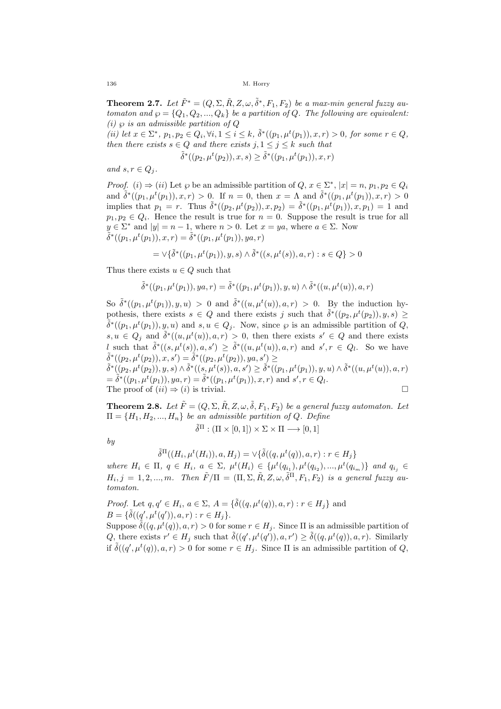**Theorem 2.7.** Let  $\tilde{F}^* = (Q, \Sigma, \tilde{R}, Z, \omega, \tilde{\delta}^*, F_1, F_2)$  be a max-min general fuzzy automaton and  $\wp = \{Q_1, Q_2, ..., Q_k\}$  be a partition of Q. The following are equivalent: (i)  $\wp$  is an admissible partition of Q

(*ii*) let  $x \in \Sigma^*$ ,  $p_1, p_2 \in Q_i, \forall i, 1 \leq i \leq k$ ,  $\tilde{\delta}^*(p_1, \mu^t(p_1)), x, r) > 0$ , for some  $r \in Q$ , then there exists  $s \in Q$  and there exists  $j, 1 \leq j \leq k$  such that

$$
\tilde{\delta}^*((p_2, \mu^t(p_2)), x, s) \ge \tilde{\delta}^*((p_1, \mu^t(p_1)), x, r)
$$

and  $s, r \in Q_i$ .

*Proof.* (i)  $\Rightarrow$  (ii) Let  $\wp$  be an admissible partition of  $Q, x \in \Sigma^*$ ,  $|x| = n$ ,  $p_1, p_2 \in Q_i$ and  $\tilde{\delta}^*((p_1,\mu^t(p_1)),x,r) > 0$ . If  $n = 0$ , then  $x = \Lambda$  and  $\tilde{\delta}^*((p_1,\mu^t(p_1)),x,r) > 0$ implies that  $p_1 = r$ . Thus  $\tilde{\delta}^*((p_2, \mu^t(p_2)), x, p_2) = \tilde{\delta}^*((p_1, \mu^t(p_1)), x, p_1) = 1$  and  $p_1, p_2 \in Q_i$ . Hence the result is true for  $n = 0$ . Suppose the result is true for all  $y \in \Sigma^*$  and  $|y| = n - 1$ , where  $n > 0$ . Let  $x = ya$ , where  $a \in \Sigma$ . Now  $\tilde{\delta}^*((p_1, \mu^t(p_1)), x, r) = \tilde{\delta}^*((p_1, \mu^t(p_1)), ya, r)$ 

$$
=\vee\{\tilde\delta^*((p_1,\mu^t(p_1)),y,s)\wedge\tilde\delta^*((s,\mu^t(s)),a,r):s\in Q\}>0
$$

Thus there exists  $u \in Q$  such that

$$
\tilde{\delta}^*((p_1,\mu^t(p_1)),ya,r)=\tilde{\delta}^*((p_1,\mu^t(p_1)),y,u)\wedge \tilde{\delta}^*((u,\mu^t(u)),a,r)
$$

So  $\tilde{\delta}^*((p_1,\mu^t(p_1)),y,u) > 0$  and  $\tilde{\delta}^*((u,\mu^t(u)),a,r) > 0$ . By the induction hypothesis, there exists  $s \in Q$  and there exists j such that  $\tilde{\delta}^*((p_2, \mu^t(p_2)), y, s) \geq$  $\tilde{\delta}^*((p_1,\mu^t(p_1)),y,u)$  and  $s,u \in Q_j$ . Now, since  $\wp$  is an admissible partition of  $Q$ ,  $s, u \in Q_j$  and  $\tilde{\delta}^*((u, \mu^t(u)), a, r) > 0$ , then there exists  $s' \in Q$  and there exists l such that  $\tilde{\delta}^*((s,\mu^t(s)),a,s') \geq \tilde{\delta}^*((u,\mu^t(u)),a,r)$  and  $s',r \in Q_l$ . So we have  $\tilde{\delta}^*((p_2,\mu^t(p_2)),x,s')=\tilde{\delta}^*((p_2,\mu^t(p_2)),ya,s')\geq$  $\tilde{\delta}^*((p_2,\mu^t(p_2)),y,s)\wedge \tilde{\delta}^*((s,\mu^t(s)),a,s')\geq \tilde{\delta}^*((p_1,\mu^t(p_1)),y,u)\wedge \tilde{\delta}^*((u,\mu^t(u)),a,r)$  $=\tilde{\delta}^*((p_1,\mu^t(p_1)),ya,r)=\tilde{\delta}^*((p_1,\mu^t(p_1)),x,r)$  and  $s',r\in Q_l$ . The proof of  $(ii) \Rightarrow (i)$  is trivial.

**Theorem 2.8.** Let  $\tilde{F} = (Q, \Sigma, \tilde{R}, Z, \omega, \tilde{\delta}, F_1, F_2)$  be a general fuzzy automaton. Let  $\Pi = \{H_1, H_2, ..., H_n\}$  be an admissible partition of Q. Define

$$
\tilde{\delta}^{\Pi} : (\Pi \times [0,1]) \times \Sigma \times \Pi \longrightarrow [0,1]
$$

by

$$
\tilde{\delta}^{\Pi}((H_i, \mu^t(H_i)), a, H_j) = \vee \{ \tilde{\delta}((q, \mu^t(q)), a, r) : r \in H_j \}
$$

where  $H_i \in \Pi$ ,  $q \in H_i$ ,  $a \in \Sigma$ ,  $\mu^t(H_i) \in {\mu^t(q_{i_1}), \mu^t(q_{i_2}), ..., \mu^t(q_{i_m})}$  and  $q_{i_j} \in$  $H_i, j = 1, 2, ..., m$ . Then  $\tilde{F}/\Pi = (\Pi, \Sigma, \tilde{R}, Z, \omega, \tilde{\delta}^{\Pi}, F_1, F_2)$  is a general fuzzy automaton.

*Proof.* Let  $q, q' \in H_i$ ,  $a \in \Sigma$ ,  $A = \{\tilde{\delta}((q, \mu^t(q)), a, r) : r \in H_j\}$  and  $B = \{\tilde{\delta}((q', \mu^t(q')), a, r) : r \in H_j\}.$ 

Suppose  $\tilde{\delta}((q,\mu^t(q)),a,r) > 0$  for some  $r \in H_j$ . Since  $\Pi$  is an admissible partition of Q, there exists  $r' \in H_j$  such that  $\tilde{\delta}((q', \mu^t(q')), a, r') \geq \tilde{\delta}((q, \mu^t(q)), a, r)$ . Similarly if  $\tilde{\delta}((q',\mu^t(q)),a,r) > 0$  for some  $r \in H_j$ . Since  $\Pi$  is an admissible partition of Q,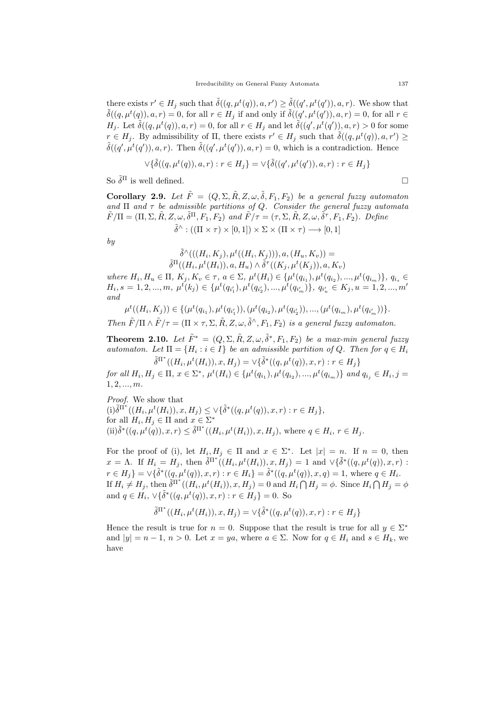there exists  $r' \in H_j$  such that  $\tilde{\delta}((q, \mu^t(q)), a, r') \geq \tilde{\delta}((q', \mu^t(q')), a, r)$ . We show that  $\tilde{\delta}((q,\mu^t(q)),a,r)=0$ , for all  $r \in H_j$  if and only if  $\tilde{\delta}((q',\mu^t(q')),a,r)=0$ , for all  $r \in$  $H_j$ . Let  $\tilde{\delta}((q,\mu^t(q)),a,r)=0$ , for all  $r \in H_j$  and let  $\tilde{\delta}((q',\mu^t(q')),a,r)>0$  for some  $r \in H_j$ . By admissibility of  $\Pi$ , there exists  $r' \in H_j$  such that  $\tilde{\delta}((q, \mu^t(q)), a, r') \geq$  $\tilde{\delta}((q',\mu^t(q')),a,r)$ . Then  $\tilde{\delta}((q',\mu^t(q')),a,r)=0$ , which is a contradiction. Hence

$$
\vee \{ \tilde{\delta}((q,\mu^t(q)),a,r) : r \in H_j \} = \vee \{ \tilde{\delta}((q',\mu^t(q')),a,r) : r \in H_j \}
$$

So  $\tilde{\delta}^{\Pi}$  is well defined.

Corollary 2.9. Let  $\tilde{F} = (Q, \Sigma, \tilde{R}, Z, \omega, \tilde{\delta}, F_1, F_2)$  be a general fuzzy automaton and  $\Pi$  and  $\tau$  be admissible partitions of Q. Consider the general fuzzy automata  $\tilde{F}/\Pi = (\Pi, \Sigma, \tilde{R}, Z, \omega, \tilde{\delta}^{\Pi}, F_1, F_2)$  and  $\tilde{F}/\tau = (\tau, \Sigma, \tilde{R}, Z, \omega, \tilde{\delta}^{\tau}, F_1, F_2)$ . Define  $\tilde{\delta}^{\wedge} : ((\Pi \times \tau) \times [0,1]) \times \Sigma \times (\Pi \times \tau) \longrightarrow [0,1]$ 

by

 $\tilde{\delta}^{\wedge}((H_i, K_j), \mu^t((H_i, K_j))), a, (H_u, K_v)) =$  $\tilde{\delta}^{\Pi}((H_i,\mu^t(H_i)),a,H_u)\wedge \tilde{\delta}^{\tau}((K_j,\mu^t(K_j)),a,K_v)$ 

where  $H_i, H_u \in \Pi, K_j, K_v \in \tau, a \in \Sigma, \mu^t(H_i) \in {\{\mu^t(q_{i_1}), \mu^t(q_{i_2}), ..., \mu^t(q_{i_m})\}}, q_{i_s} \in$  $H_i, s = 1, 2, ..., m, \mu^t(k_j) \in {\mu^t(q_{i'_1}), \mu^t(q_{i'_2}), ..., \mu^t(q_{i'_m})}, \ q_{i'_u} \in K_j, u = 1, 2, ..., m'$ and

 $\mu^t((H_i, K_j)) \in \{(\mu^t(q_{i_1}), \mu^t(q_{i'_1})), (\mu^t(q_{i_2}), \mu^t(q_{i'_2})), ..., (\mu^t(q_{i_m}), \mu^t(q_{i'_m}))\}.$ Then  $\tilde{F}/\Pi \wedge \tilde{F}/\tau = (\Pi \times \tau, \Sigma, \tilde{R}, Z, \omega, \tilde{\delta}^{\wedge}, F_1, F_2)$  is a general fuzzy automaton.

**Theorem 2.10.** Let  $\tilde{F}^* = (Q, \Sigma, \tilde{R}, Z, \omega, \tilde{\delta}^*, F_1, F_2)$  be a max-min general fuzzy automaton. Let  $\Pi = \{H_i : i \in I\}$  be an admissible partition of Q. Then for  $q \in H_i$ 

 $\tilde{\delta}^{\Pi^*}((H_i, \mu^t(H_i)), x, H_j) = \vee \{ \tilde{\delta}^*((q, \mu^t(q)), x, r) : r \in H_j \}$ for all  $H_i, H_j \in \Pi$ ,  $x \in \Sigma^*$ ,  $\mu^t(H_i) \in {\{\mu^t(q_{i_1}), \mu^t(q_{i_2}), ..., \mu^t(q_{i_m})\}}$  and  $q_{i_j} \in H_i$ ,  $j =$  $1, 2, ..., m$ .

Proof. We show that  $(i)\tilde{\delta}^{\Pi^*}((H_i,\mu^t(H_i)),x,H_j) \leq \vee \{\tilde{\delta}^*((q,\mu^t(q)),x,r) : r \in H_j\},\$ for all  $H_i, H_j \in \Pi$  and  $x \in \Sigma^*$  $(i) \tilde{\delta}^*((q,\mu^t(q)),x,r) \leq \tilde{\delta}^{\Pi^*}((H_i,\mu^t(H_i)),x,H_j),$  where  $q \in H_i, r \in H_j$ .

For the proof of (i), let  $H_i, H_j \in \Pi$  and  $x \in \Sigma^*$ . Let  $|x| = n$ . If  $n = 0$ , then  $x = \Lambda$ . If  $H_i = H_j$ , then  $\tilde{\delta}^{\Pi^*}(H_i, \mu^t(H_i)), x, H_j) = 1$  and  $\forall \{\tilde{\delta}^*((q, \mu^t(q)), x, r) :$  $r \in H_j$  =  $\forall \{\tilde{\delta}^*((q, \mu^t(q)), x, r) : r \in H_i\} = \tilde{\delta}^*((q, \mu^t(q)), x, q) = 1$ , where  $q \in H_i$ . If  $H_i \neq H_j$ , then  $\tilde{\delta}^{\Pi^*}((H_i, \mu^t(H_i)), x, H_j) = 0$  and  $H_i \cap H_j = \phi$ . Since  $H_i \cap H_j = \phi$ and  $q \in H_i$ ,  $\forall {\tilde{\delta}^*((q, \mu^t(q)), x, r) : r \in H_j} = 0$ . So

$$
\tilde{\delta}^{\Pi^*}((H_i, \mu^t(H_i)), x, H_j) = \vee \{\tilde{\delta}^*((q, \mu^t(q)), x, r) : r \in H_j\}
$$

Hence the result is true for  $n = 0$ . Suppose that the result is true for all  $y \in \Sigma^*$ and  $|y| = n - 1$ ,  $n > 0$ . Let  $x = ya$ , where  $a \in \Sigma$ . Now for  $q \in H_i$  and  $s \in H_k$ , we have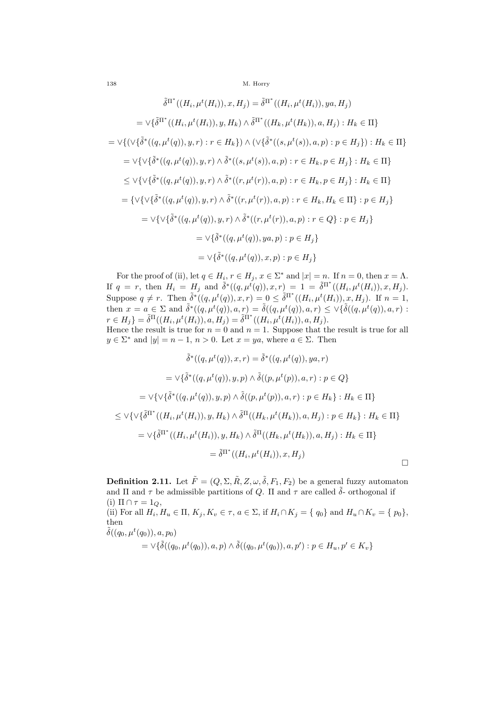$$
\tilde{\delta}^{\Pi^*}((H_i, \mu^t(H_i)), x, H_j) = \tilde{\delta}^{\Pi^*}((H_i, \mu^t(H_i)), ya, H_j)
$$
  
\n
$$
= \vee \{\tilde{\delta}^{\Pi^*}((H_i, \mu^t(H_i)), y, H_k) \wedge \tilde{\delta}^{\Pi^*}((H_k, \mu^t(H_k)), a, H_j) : H_k \in \Pi\}
$$
  
\n
$$
= \vee \{(\vee \{\tilde{\delta}^*((q, \mu^t(q)), y, r) : r \in H_k\}) \wedge (\vee \{\tilde{\delta}^*((s, \mu^t(s)), a, p) : p \in H_j\}) : H_k \in \Pi\}
$$
  
\n
$$
= \vee \{\vee \{\tilde{\delta}^*((q, \mu^t(q)), y, r) \wedge \tilde{\delta}^*((s, \mu^t(s)), a, p) : r \in H_k, p \in H_j\} : H_k \in \Pi\}
$$
  
\n
$$
\leq \vee \{\vee \{\tilde{\delta}^*((q, \mu^t(q)), y, r) \wedge \tilde{\delta}^*((r, \mu^t(r)), a, p) : r \in H_k, p \in H_j\} : H_k \in \Pi\}
$$
  
\n
$$
= \{\vee \{\vee \{\tilde{\delta}^*((q, \mu^t(q)), y, r) \wedge \tilde{\delta}^*((r, \mu^t(r)), a, p) : r \in Q\} : p \in H_j\}
$$
  
\n
$$
= \vee \{\tilde{\delta}^*((q, \mu^t(q)), y, q) : p \in H_j\}
$$
  
\n
$$
= \vee \{\tilde{\delta}^*((q, \mu^t(q)), y, p) : p \in H_j\}
$$
  
\n
$$
= \vee \{\tilde{\delta}^*((q, \mu^t(q)), x, p) : p \in H_j\}
$$

For the proof of (ii), let  $q \in H_i$ ,  $r \in H_j$ ,  $x \in \Sigma^*$  and  $|x| = n$ . If  $n = 0$ , then  $x = \Lambda$ . If  $q = r$ , then  $H_i = H_j$  and  $\tilde{\delta}^*((q, \mu^t(q)), x, r) = 1 = \tilde{\delta}^{\Pi^*}((H_i, \mu^t(H_i)), x, H_j)$ . Suppose  $q \neq r$ . Then  $\tilde{\delta}^*((q,\mu^t(q)),x,r) = 0 \leq \tilde{\delta}^{\Pi^*}((H_i,\mu^t(H_i)),x,H_j)$ . If  $n = 1$ , then  $x = a \in \Sigma$  and  $\tilde{\delta}^*((q,\mu^t(q)),a,r) = \tilde{\delta}((q,\mu^t(q)),a,r) \leq \sqrt{\delta}((q,\mu^t(q)),a,r)$ :  $r \in H_j$  =  $\tilde{\delta}^{\Pi}((H_i, \mu^t(H_i)), a, H_j) = \tilde{\delta}^{\Pi^*}((H_i, \mu^t(H_i)), a, H_j).$ 

Hence the result is true for  $n = 0$  and  $n = 1$ . Suppose that the result is true for all  $y \in \Sigma^*$  and  $|y| = n - 1$ ,  $n > 0$ . Let  $x = ya$ , where  $a \in \Sigma$ . Then

$$
\tilde{\delta}^*((q,\mu^t(q)),x,r) = \tilde{\delta}^*((q,\mu^t(q)),ya,r)
$$

$$
= \vee \{\tilde{\delta}^*((q,\mu^t(q)),y,p) \wedge \tilde{\delta}((p,\mu^t(p)),a,r) : p \in Q\}
$$

$$
= \vee \{\vee \{\tilde{\delta}^*((q,\mu^t(q)),y,p) \wedge \tilde{\delta}((p,\mu^t(p)),a,r) : p \in H_k\} : H_k \in \Pi\}
$$

$$
\leq \vee \{\vee \{\tilde{\delta}^{\Pi^*}((H_i,\mu^t(H_i)),y,H_k) \wedge \tilde{\delta}^{\Pi}((H_k,\mu^t(H_k)),a,H_j) : p \in H_k\} : H_k \in \Pi\}
$$

$$
= \vee \{\tilde{\delta}^{\Pi^*}((H_i,\mu^t(H_i)),y,H_k) \wedge \tilde{\delta}^{\Pi}((H_k,\mu^t(H_k)),a,H_j) : H_k \in \Pi\}
$$

$$
= \tilde{\delta}^{\Pi^*}((H_i,\mu^t(H_i)),x,H_j)
$$

**Definition 2.11.** Let  $\tilde{F} = (Q, \Sigma, \tilde{R}, Z, \omega, \tilde{\delta}, F_1, F_2)$  be a general fuzzy automaton and Π and  $\tau$  be admissible partitions of Q. Π and  $\tau$  are called  $\tilde{\delta}$ - orthogonal if (i)  $\Pi \cap \tau = 1_Q$ , (ii) For all  $H_i, H_u \in \Pi, K_j, K_v \in \tau, a \in \Sigma$ , if  $H_i \cap K_j = \{q_0\}$  and  $H_u \cap K_v = \{p_0\}$ , then  $ilde{\delta}((q_0, \mu^t(q_0)), a, p_0)$  $= \vee \{ \tilde{\delta}((q_0, \mu^t(q_0)), a, p) \wedge \tilde{\delta}((q_0, \mu^t(q_0)), a, p') : p \in H_u, p' \in K_v \}$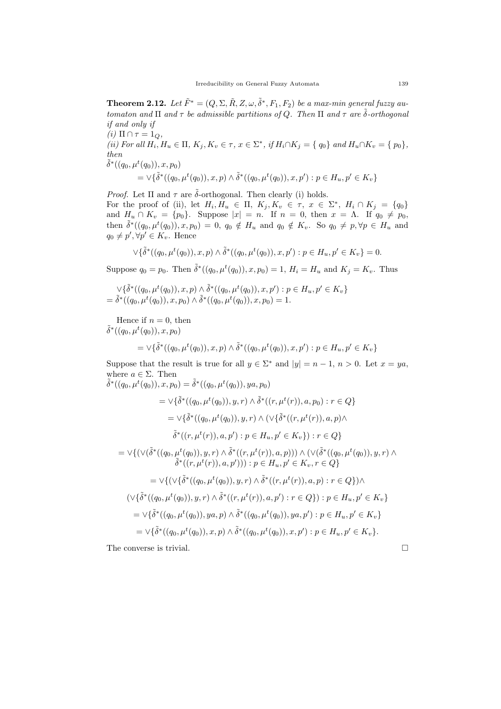**Theorem 2.12.** Let  $\tilde{F}^* = (Q, \Sigma, \tilde{R}, Z, \omega, \tilde{\delta}^*, F_1, F_2)$  be a max-min general fuzzy automaton and  $\Pi$  and  $\tau$  be admissible partitions of Q. Then  $\Pi$  and  $\tau$  are  $\tilde{\delta}$ -orthogonal if and only if

(i)  $\Pi \cap \tau = 1_Q$ , (ii) For all  $H_i, H_u \in \Pi, K_j, K_v \in \tau, x \in \Sigma^*, \text{ if } H_i \cap K_j = \{q_0\} \text{ and } H_u \cap K_v = \{p_0\},$ then  $\tilde{\delta}^*((q_0, \mu^t(q_0)), x, p_0)$ 

$$
= \vee \{\tilde{\delta}^*((q_0,\mu^t(q_0)),x,p) \wedge \tilde{\delta}^*((q_0,\mu^t(q_0)),x,p') : p \in H_u, p' \in K_v\}
$$

*Proof.* Let  $\Pi$  and  $\tau$  are  $\tilde{\delta}$ -orthogonal. Then clearly (i) holds. For the proof of (ii), let  $H_i, H_u \in \Pi$ ,  $K_j, K_v \in \tau$ ,  $x \in \Sigma^*$ ,  $H_i \cap K_j = \{q_0\}$ and  $H_u \cap K_v = \{p_0\}$ . Suppose  $|x| = n$ . If  $n = 0$ , then  $x = \Lambda$ . If  $q_0 \neq p_0$ , then  $\tilde{\delta}^*((q_0, \mu^t(q_0)), x, p_0) = 0, q_0 \notin H_u$  and  $q_0 \notin K_v$ . So  $q_0 \neq p, \forall p \in H_u$  and  $q_0 \neq p', \forall p' \in K_v$ . Hence

$$
\vee \{ \tilde{\delta}^*((q_0, \mu^t(q_0)), x, p) \wedge \tilde{\delta}^*((q_0, \mu^t(q_0)), x, p') : p \in H_u, p' \in K_v \} = 0.
$$

Suppose  $q_0 = p_0$ . Then  $\tilde{\delta}^*((q_0, \mu^t(q_0)), x, p_0) = 1, H_i = H_u$  and  $K_j = K_v$ . Thus

$$
\forall \{\tilde{\delta}^*((q_0, \mu^t(q_0)), x, p) \land \tilde{\delta}^*((q_0, \mu^t(q_0)), x, p') : p \in H_u, p' \in K_v\}
$$
  
=  $\tilde{\delta}^*((q_0, \mu^t(q_0)), x, p_0) \land \tilde{\delta}^*((q_0, \mu^t(q_0)), x, p_0) = 1.$ 

Hence if  $n = 0$ , then  $\tilde{\delta}^*((q_0, \mu^t(q_0)), x, p_0)$ 

$$
= \vee \{ \tilde{\delta}^*((q_0, \mu^t(q_0)), x, p) \wedge \tilde{\delta}^*((q_0, \mu^t(q_0)), x, p') : p \in H_u, p' \in K_v \}
$$

Suppose that the result is true for all  $y \in \Sigma^*$  and  $|y| = n - 1$ ,  $n > 0$ . Let  $x = ya$ , where  $a \in \Sigma$ . Then

$$
\tilde{\delta}^*((q_0, \mu^t(q_0)), x, p_0) = \tilde{\delta}^*((q_0, \mu^t(q_0)), ya, p_0)
$$
\n
$$
= \vee \{\tilde{\delta}^*((q_0, \mu^t(q_0)), y, r) \wedge \tilde{\delta}^*((r, \mu^t(r)), a, p_0) : r \in Q\}
$$
\n
$$
= \vee \{\tilde{\delta}^*((q_0, \mu^t(q_0)), y, r) \wedge (\vee \{\tilde{\delta}^*((r, \mu^t(r)), a, p) \wedge \tilde{\delta}^*((r, \mu^t(r)), a, p) \wedge \tilde{\delta}^*((r, \mu^t(r)), a, p')) : r \in Q\}
$$
\n
$$
= \vee \{(\vee (\tilde{\delta}^*((q_0, \mu^t(q_0)), y, r) \wedge \tilde{\delta}^*((r, \mu^t(r)), a, p))) \wedge (\vee (\tilde{\delta}^*((q_0, \mu^t(q_0)), y, r) \wedge \tilde{\delta}^*((r, \mu^t(r)), a, p'))) : p \in H_u, p' \in K_v, r \in Q\})
$$
\n
$$
= \vee \{(\vee \{\tilde{\delta}^*((q_0, \mu^t(q_0)), y, r) \wedge \tilde{\delta}^*((r, \mu^t(r)), a, p') : r \in Q\}) : p \in H_u, p' \in K_v\}
$$
\n
$$
= \vee \{\tilde{\delta}^*((q_0, \mu^t(q_0)), ya, p) \wedge \tilde{\delta}^*((q_0, \mu^t(q_0)), ya, p') : p \in H_u, p' \in K_v\}
$$
\n
$$
= \vee \{\tilde{\delta}^*((q_0, \mu^t(q_0)), x, p) \wedge \tilde{\delta}^*((q_0, \mu^t(q_0)), x, p') : p \in H_u, p' \in K_v\}.
$$

The converse is trivial.  $\hfill \Box$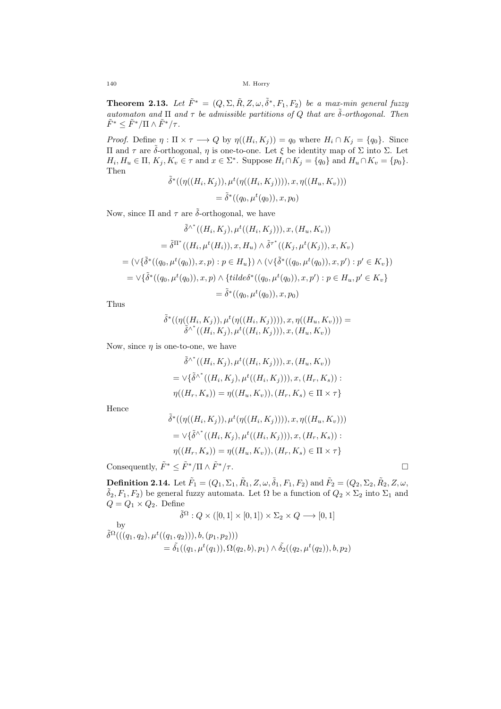**Theorem 2.13.** Let  $\tilde{F}^* = (Q, \Sigma, \tilde{R}, Z, \omega, \tilde{\delta}^*, F_1, F_2)$  be a max-min general fuzzy automaton and  $\Pi$  and  $\tau$  be admissible partitions of Q that are  $\tilde{\delta}$ -orthogonal. Then  $\tilde{F}^* \leq \tilde{F}^*/\Pi \wedge \tilde{F}^*/\tau.$ 

*Proof.* Define  $\eta : \Pi \times \tau \longrightarrow Q$  by  $\eta((H_i, K_j)) = q_0$  where  $H_i \cap K_j = \{q_0\}$ . Since Π and τ are ˜δ-orthogonal, η is one-to-one. Let ξ be identity map of Σ into Σ. Let  $H_i, H_u \in \Pi, K_j, K_v \in \tau$  and  $x \in \Sigma^*$ . Suppose  $H_i \cap K_j = \{q_0\}$  and  $H_u \cap K_v = \{p_0\}.$ Then

$$
\tilde{\delta}^*((\eta((H_i, K_j)), \mu^t(\eta((H_i, K_j)))), x, \eta((H_u, K_v)))
$$
  
= 
$$
\tilde{\delta}^*((q_0, \mu^t(q_0)), x, p_0)
$$

Now, since  $\Pi$  and  $\tau$  are  $\tilde{\delta}$ -orthogonal, we have

$$
\tilde{\delta}^{\wedge^*}((H_i, K_j), \mu^t((H_i, K_j))), x, (H_u, K_v))
$$
\n
$$
= \tilde{\delta}^{\Pi^*}((H_i, \mu^t(H_i)), x, H_u) \wedge \tilde{\delta}^{\tau^*}((K_j, \mu^t(K_j)), x, K_v)
$$
\n
$$
= (\vee \{\tilde{\delta}^*((q_0, \mu^t(q_0)), x, p) : p \in H_u\}) \wedge (\vee \{\tilde{\delta}^*((q_0, \mu^t(q_0)), x, p') : p' \in K_v\})
$$
\n
$$
= \vee \{\tilde{\delta}^*((q_0, \mu^t(q_0)), x, p) \wedge \{tilde{\delta}^*((q_0, \mu^t(q_0)), x, p') : p \in H_u, p' \in K_v\}
$$
\n
$$
= \tilde{\delta}^*((q_0, \mu^t(q_0)), x, p_0)
$$

Thus

$$
\tilde{\delta}^*((\eta((H_i, K_j)), \mu^t(\eta((H_i, K_j)))), x, \eta((H_u, K_v))) = \tilde{\delta}^{\wedge^*}((H_i, K_j), \mu^t((H_i, K_j))), x, (H_u, K_v)))
$$

Now, since  $\eta$  is one-to-one, we have

$$
\tilde{\delta}^{\wedge^*}((H_i, K_j), \mu^t((H_i, K_j))), x, (H_u, K_v))
$$
  
=  $\vee \{\tilde{\delta}^{\wedge^*}((H_i, K_j), \mu^t((H_i, K_j))), x, (H_r, K_s)) :$   

$$
\eta((H_r, K_s)) = \eta((H_u, K_v)), (H_r, K_s) \in \Pi \times \tau \}
$$

Hence

$$
\tilde{\delta}^*((\eta((H_i, K_j)), \mu^t(\eta((H_i, K_j))))), x, \eta((H_u, K_v)))
$$
  
=  $\vee \{\tilde{\delta}^{\wedge^*}((H_i, K_j), \mu^t((H_i, K_j))), x, (H_r, K_s)) :$   

$$
\eta((H_r, K_s)) = \eta((H_u, K_v)), (H_r, K_s) \in \Pi \times \tau \}
$$

Consequently,  $\tilde{F}^* \leq \tilde{F}^*/\Pi \wedge \tilde{F}^*/\tau$ .

**Definition 2.14.** Let  $\tilde{F}_1=(Q_1,\Sigma_1,\tilde{R}_1,Z,\omega,\tilde{\delta}_1,F_1,F_2)$  and  $\tilde{F}_2=(Q_2,\Sigma_2,\tilde{R}_2,Z,\omega,Z)$  $\tilde{\delta}_2, F_1, F_2$ ) be general fuzzy automata. Let  $\Omega$  be a function of  $Q_2 \times \Sigma_2$  into  $\Sigma_1$  and  $Q = Q_1 \times Q_2$ . Define

$$
\tilde{\delta}^{\Omega}: Q \times ([0,1] \times [0,1]) \times \Sigma_2 \times Q \longrightarrow [0,1]
$$

by  
\n
$$
\tilde{\delta}^{\Omega}(((q_1, q_2), \mu^t((q_1, q_2))), b, (p_1, p_2)))
$$
\n
$$
= \tilde{\delta}_1((q_1, \mu^t(q_1)), \Omega(q_2, b), p_1) \wedge \tilde{\delta}_2((q_2, \mu^t(q_2)), b, p_2)
$$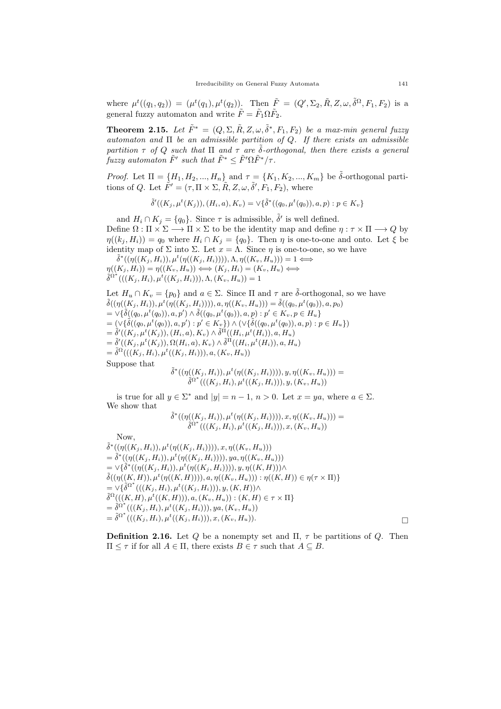where  $\mu^t((q_1, q_2)) = (\mu^t(q_1), \mu^t(q_2)).$  Then  $\tilde{F} = (Q', \Sigma_2, \tilde{R}, Z, \omega, \tilde{\delta}^{\Omega}, F_1, F_2)$  is a general fuzzy automaton and write  $\tilde{F} = \tilde{F}_1 \Omega \tilde{F}_2$ .

**Theorem 2.15.** Let  $\tilde{F}^* = (Q, \Sigma, \tilde{R}, Z, \omega, \tilde{\delta}^*, F_1, F_2)$  be a max-min general fuzzy automaton and  $\Pi$  be an admissible partition of  $Q$ . If there exists an admissible partition  $\tau$  of Q such that  $\Pi$  and  $\tau$  are  $\tilde{\delta}$ -orthogonal, then there exists a general fuzzy automaton  $\tilde{F}'$  such that  $\tilde{F}^* \leq \tilde{F}'\Omega \tilde{F}^*/\tau$ .

*Proof.* Let  $\Pi = \{H_1, H_2, ..., H_n\}$  and  $\tau = \{K_1, K_2, ..., K_m\}$  be  $\tilde{\delta}$ -orthogonal partitions of Q. Let  $\tilde{F}' = (\tau, \Pi \times \Sigma, \tilde{R}, Z, \omega, \tilde{\delta}', F_1, F_2)$ , where

$$
\tilde{\delta}'((K_j, \mu^t(K_j)), (H_i, a), K_v) = \vee \{ \tilde{\delta}^*((q_0, \mu^t(q_0)), a, p) : p \in K_v \}
$$

and  $H_i \cap K_j = \{q_0\}$ . Since  $\tau$  is admissible,  $\tilde{\delta}'$  is well defined. Define  $\Omega : \Pi \times \Sigma \longrightarrow \Pi \times \Sigma$  to be the identity map and define  $\eta : \tau \times \Pi \longrightarrow Q$  by  $\eta((k_j, H_i)) = q_0$  where  $H_i \cap K_j = \{q_0\}$ . Then  $\eta$  is one-to-one and onto. Let  $\xi$  be identity map of  $\Sigma$  into  $\Sigma$ . Let  $x = \Lambda$ . Since  $\eta$  is one-to-one, so we have

 $\tilde{\delta}^*((\eta((K_j, H_i)), \mu^t(\eta((K_j, H_i)))), \Lambda, \eta((K_v, H_u))) = 1 \Longleftrightarrow$  $\eta((K_i, H_i)) = \eta((K_v, H_u)) \Longleftrightarrow (K_j, H_i) = (K_v, H_u) \Longleftrightarrow$  $\tilde{\delta}^{\Omega^*}(((K_j,H_i),\mu^t((K_j,H_i))),\Lambda,(K_v,H_u))=1$ 

Let  $H_u \cap K_v = \{p_0\}$  and  $a \in \Sigma$ . Since  $\Pi$  and  $\tau$  are  $\tilde{\delta}$ -orthogonal, so we have  $\tilde{\delta}((\eta((K_j, H_i)), \mu^t(\eta((K_j, H_i)))), a, \eta((K_v, H_u))) = \tilde{\delta}((q_0, \mu^t(q_0)), a, p_0))$  $=\vee\{\tilde{\delta}((q_0,\mu^t(q_0)),a,p')\wedge \tilde{\delta}((q_0,\mu^t(q_0)),a,p): p'\in K_v, p\in H_u\}$  $=\left(\vee\{\tilde{\delta}((q_0,\mu^t(q_0)),a,p'):p'\in K_v\}\right)\wedge\left(\vee\{\tilde{\delta}((q_0,\mu^t(q_0)),a,p):p\in H_u\}\right)$  $= \tilde{\delta}'((K_j, \mu^t(K_j)), (H_i, a), K_v) \wedge \tilde{\delta}^{\Pi}((H_i, \mu^t(H_i)), a, H_u)$  $= \tilde{\delta}'((K_j, \mu^t(K_j)), \Omega(H_i, a), K_v) \wedge \tilde{\delta}^{\Pi}((H_i, \mu^t(H_i)), a, H_u)$  $=\tilde{\delta}^{\Omega}(((K_j, H_i), \mu^t((K_j, H_i))), a, (K_v, H_u))$ 

Suppose that

$$
\tilde{\delta}^*((\eta((K_j, H_i)), \mu^t(\eta((K_j, H_i)))), y, \eta((K_v, H_u))) = \tilde{\delta}^{\Omega^*}(((K_j, H_i), \mu^t((K_j, H_i))), y, (K_v, H_u))
$$

is true for all  $y \in \Sigma^*$  and  $|y| = n - 1$ ,  $n > 0$ . Let  $x = ya$ , where  $a \in \Sigma$ . We show that

$$
\tilde{\delta}^*((\eta((K_j, H_i)), \mu^t(\eta((K_j, H_i)))), x, \eta((K_v, H_u))) = \tilde{\delta}^{\Omega^*}(((K_j, H_i), \mu^t((K_j, H_i))), x, (K_v, H_u))
$$

Now,

 $\tilde{\delta}^*((\eta((K_j, H_i)), \mu^t(\eta((K_j, H_i)))), x, \eta((K_v, H_u)))$  $= \tilde{\delta}^*((\eta((K_j, H_i)), \mu^t(\eta((K_j, H_i)))), ya, \eta((K_v, H_u)))$  $=\vee\{\tilde{\delta}^*((\eta((K_j,H_i)),\mu^t(\eta((K_j,H_i)))),y,\eta((K,H)))\wedge$  $\tilde{\delta}((\eta((K,H)),\mu^t(\eta((K,H))))),a,\eta((K_v,H_u))) : \eta((K,H)) \in \eta(\tau \times \Pi)$  $=\vee\{\tilde{\delta}^{\Omega^*}(((K_j,H_i),\mu^t((K_j,H_i))),y,(K,H))\wedge$  $\tilde{\delta}^{\Omega}(((K, H), \mu^t((K, H))), a, (K_v, H_u)) : (K, H) \in \tau \times \Pi$  $=\tilde{\delta}^{\Omega^*}(((K_j,H_i),\mu^t((K_j,H_i))),ya,(K_v,H_u))$  $=\tilde{\delta}^{\Omega^*}(((K_j,H_i),\mu^t((K_j,H_i))),x,(K_v,H_u)).$ 

**Definition 2.16.** Let  $Q$  be a nonempty set and  $\Pi$ ,  $\tau$  be partitions of  $Q$ . Then  $\Pi \leq \tau$  if for all  $A \in \Pi$ , there exists  $B \in \tau$  such that  $A \subseteq B$ .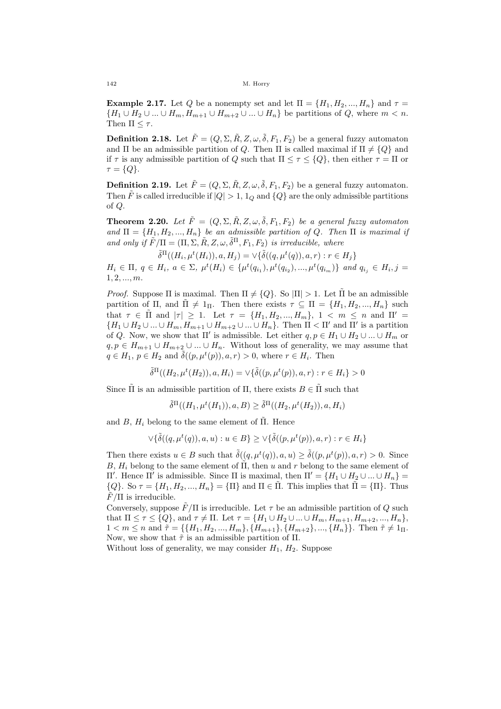**Example 2.17.** Let Q be a nonempty set and let  $\Pi = \{H_1, H_2, ..., H_n\}$  and  $\tau =$  $\{H_1 \cup H_2 \cup ... \cup H_m, H_{m+1} \cup H_{m+2} \cup ... \cup H_n\}$  be partitions of Q, where  $m < n$ . Then  $\Pi \leq \tau$ .

**Definition 2.18.** Let  $\tilde{F} = (Q, \Sigma, \tilde{R}, Z, \omega, \tilde{\delta}, F_1, F_2)$  be a general fuzzy automaton and Π be an admissible partition of Q. Then  $\Pi$  is called maximal if  $\Pi \neq \{Q\}$  and if  $\tau$  is any admissible partition of Q such that  $\Pi \leq \tau \leq \{Q\}$ , then either  $\tau = \Pi$  or  $\tau = \{Q\}.$ 

**Definition 2.19.** Let  $\tilde{F} = (Q, \Sigma, \tilde{R}, Z, \omega, \tilde{\delta}, F_1, F_2)$  be a general fuzzy automaton. Then  $\tilde{F}$  is called irreducible if  $|Q| > 1$ ,  $1_Q$  and  $\{Q\}$  are the only admissible partitions of Q.

**Theorem 2.20.** Let  $\tilde{F} = (Q, \Sigma, \tilde{R}, Z, \omega, \tilde{\delta}, F_1, F_2)$  be a general fuzzy automaton and  $\Pi = \{H_1, H_2, ..., H_n\}$  be an admissible partition of Q. Then  $\Pi$  is maximal if and only if  $\tilde{F}/\Pi = (\Pi, \Sigma, \tilde{R}, Z, \omega, \tilde{\delta}^{\Pi}, F_1, F_2)$  is irreducible, where

 $\tilde{\delta}^{\Pi}((H_i, \mu^t(H_i)), a, H_j) = \vee \{ \tilde{\delta}((q, \mu^t(q)), a, r) : r \in H_j \}$ 

 $H_i \in \Pi, q \in H_i, a \in \Sigma, \mu^t(H_i) \in \{\mu^t(q_{i_1}), \mu^t(q_{i_2}), ..., \mu^t(q_{i_m})\}$  and  $q_{i_j} \in H_i, j =$  $1, 2, ..., m$ .

*Proof.* Suppose  $\Pi$  is maximal. Then  $\Pi \neq \{Q\}$ . So  $|\Pi| > 1$ . Let  $\Pi$  be an admissible partition of  $\Pi$ , and  $\Pi \neq 1_{\Pi}$ . Then there exists  $\tau \subseteq \Pi = \{H_1, H_2, ..., H_n\}$  such that  $\tau \in \tilde{\Pi}$  and  $|\tau| \geq 1$ . Let  $\tau = \{H_1, H_2, ..., H_m\}$ ,  $1 \lt m \leq n$  and  $\Pi' =$  $\{H_1 \cup H_2 \cup ... \cup H_m, H_{m+1} \cup H_{m+2} \cup ... \cup H_n\}$ . Then  $\Pi < \Pi'$  and  $\Pi'$  is a partition of Q. Now, we show that  $\Pi'$  is admissible. Let either  $q, p \in H_1 \cup H_2 \cup ... \cup H_m$  or  $q, p \in H_{m+1} \cup H_{m+2} \cup ... \cup H_n$ . Without loss of generality, we may assume that  $q \in H_1, p \in H_2$  and  $\tilde{\delta}((p, \mu^t(p)), a, r) > 0$ , where  $r \in H_i$ . Then

$$
\tilde{\delta}^{\Pi}((H_2, \mu^t(H_2)), a, H_i) = \vee \{ \tilde{\delta}((p, \mu^t(p)), a, r) : r \in H_i \} > 0
$$

Since  $\tilde{\Pi}$  is an admissible partition of  $\Pi$ , there exists  $B \in \tilde{\Pi}$  such that

$$
\tilde{\delta}^{\Pi}((H_1,\mu^t(H_1)),a,B)\geq \tilde{\delta}^{\Pi}((H_2,\mu^t(H_2)),a,H_i)
$$

and B,  $H_i$  belong to the same element of  $\Pi$ . Hence

$$
\forall \{\tilde{\delta}((q,\mu^t(q)),a,u): u \in B\} \geq \forall \{\tilde{\delta}((p,\mu^t(p)),a,r): r \in H_i\}
$$

Then there exists  $u \in B$  such that  $\tilde{\delta}((q, \mu^t(q)), a, u) \geq \tilde{\delta}((p, \mu^t(p)), a, r) > 0$ . Since B,  $H_i$  belong to the same element of  $\tilde{\Pi}$ , then u and r belong to the same element of Π'. Hence Π' is admissible. Since Π is maximal, then  $\Pi' = \{H_1 \cup H_2 \cup ... \cup H_n\} =$  ${Q}$ . So  $\tau = {H_1, H_2, ..., H_n} = {\Pi}$  and  $\Pi \in \Pi$ . This implies that  $\Pi = {\Pi}$ . Thus  $\overline{F}/\Pi$  is irreducible.

Conversely, suppose  $\tilde{F}/\Pi$  is irreducible. Let  $\tau$  be an admissible partition of Q such that  $\Pi \leq \tau \leq \{Q\}$ , and  $\tau \neq \Pi$ . Let  $\tau = \{H_1 \cup H_2 \cup ... \cup H_m, H_{m+1}, H_{m+2}, ..., H_n\}$ ,  $1 < m \le n$  and  $\tilde{\tau} = \{\{H_1, H_2, ..., H_m\}, \{H_{m+1}\}, \{H_{m+2}\}, ..., \{H_n\}\}\.$  Then  $\tilde{\tau} \neq 1_{\Pi}$ . Now, we show that  $\tilde{\tau}$  is an admissible partition of  $\Pi$ .

Without loss of generality, we may consider  $H_1$ ,  $H_2$ . Suppose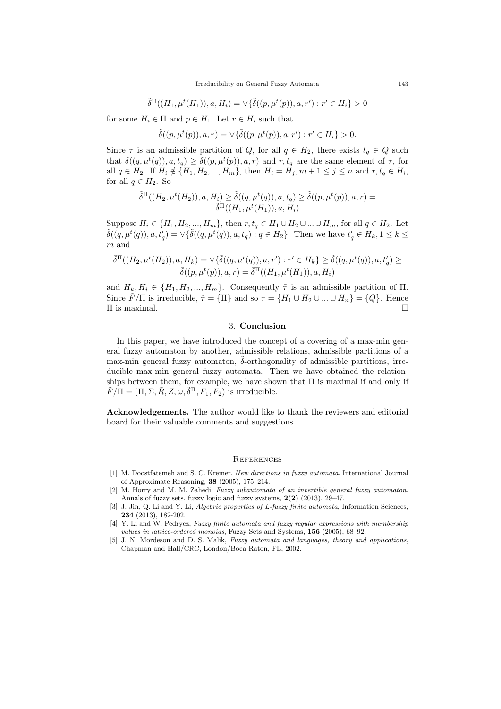$$
\tilde{\delta}^{\Pi}((H_1, \mu^t(H_1)), a, H_i) = \vee \{ \tilde{\delta}((p, \mu^t(p)), a, r') : r' \in H_i \} > 0
$$

for some  $H_i \in \Pi$  and  $p \in H_1$ . Let  $r \in H_i$  such that

 $\tilde{\delta}((p, \mu^t(p)), a, r) = \vee \{ \tilde{\delta}((p, \mu^t(p)), a, r') : r' \in H_i \} > 0.$ 

Since  $\tau$  is an admissible partition of Q, for all  $q \in H_2$ , there exists  $t_q \in Q$  such that  $\tilde{\delta}((q,\mu^t(q)),a,t_q) \geq \tilde{\delta}((p,\mu^t(p)),a,r)$  and  $r,t_q$  are the same element of  $\tau$ , for all  $q \in H_2$ . If  $H_i \notin \{H_1, H_2, ..., H_m\}$ , then  $H_i = H_j, m + 1 \le j \le n$  and  $r, t_q \in H_i$ , for all  $q \in H_2$ . So

$$
\tilde{\delta}^{\Pi}((H_2, \mu^t(H_2)), a, H_i) \ge \tilde{\delta}((q, \mu^t(q)), a, t_q) \ge \tilde{\delta}((p, \mu^t(p)), a, r) = \tilde{\delta}^{\Pi}((H_1, \mu^t(H_1)), a, H_i)
$$

Suppose  $H_i \in \{H_1, H_2, ..., H_m\}$ , then  $r, t_q \in H_1 \cup H_2 \cup ... \cup H_m$ , for all  $q \in H_2$ . Let  $\tilde{\delta}((q,\mu^t(q)),a,t'_q) = \vee \{ \tilde{\delta}((q,\mu^t(q)),a,t_q) : q \in H_2 \}.$  Then we have  $t'_q \in H_k, 1 \leq k \leq$ m and

$$
\tilde{\delta}^{\Pi}((H_2, \mu^t(H_2)), a, H_k) = \vee \{ \tilde{\delta}((q, \mu^t(q)), a, r') : r' \in H_k \} \ge \tilde{\delta}((q, \mu^t(q)), a, t'_q) \ge \tilde{\delta}((p, \mu^t(p)), a, r) = \tilde{\delta}^{\Pi}((H_1, \mu^t(H_1)), a, H_i)
$$

and  $H_k, H_i \in \{H_1, H_2, ..., H_m\}$ . Consequently  $\tilde{\tau}$  is an admissible partition of  $\Pi$ . Since  $\tilde{F}/\Pi$  is irreducible,  $\tilde{\tau} = {\Pi}$  and so  $\tau = {H_1 \cup H_2 \cup ... \cup H_n} = {Q}.$  Hence  $\Pi$  is maximal. Π is maximal.

## 3. Conclusion

In this paper, we have introduced the concept of a covering of a max-min general fuzzy automaton by another, admissible relations, admissible partitions of a max-min general fuzzy automaton,  $\delta$ -orthogonality of admissible partitions, irreducible max-min general fuzzy automata. Then we have obtained the relationships between them, for example, we have shown that  $\Pi$  is maximal if and only if  $\tilde{F}/\Pi = (\Pi, \Sigma, \tilde{R}, Z, \omega, \tilde{\delta}^{\Pi}, F_1, F_2)$  is irreducible.

Acknowledgements. The author would like to thank the reviewers and editorial board for their valuable comments and suggestions.

### **REFERENCES**

- [1] M. Doostfatemeh and S. C. Kremer, New directions in fuzzy automata, International Journal of Approximate Reasoning, 38 (2005), 175–214.
- [2] M. Horry and M. M. Zahedi, Fuzzy subautomata of an invertible general fuzzy automaton, Annals of fuzzy sets, fuzzy logic and fuzzy systems, 2(2) (2013), 29–47.
- [3] J. Jin, Q. Li and Y. Li, Algebric properties of L-fuzzy finite automata, Information Sciences, 234 (2013), 182-202.
- [4] Y. Li and W. Pedrycz, Fuzzy finite automata and fuzzy regular expressions with membership values in lattice-ordered monoids, Fuzzy Sets and Systems, 156 (2005), 68–92.
- [5] J. N. Mordeson and D. S. Malik, Fuzzy automata and languages, theory and applications, Chapman and Hall/CRC, London/Boca Raton, FL, 2002.